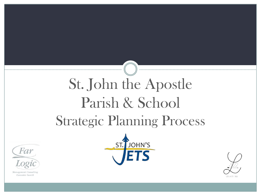# St. John the Apostle Parish & School Strategic Planning Process



Management Consulting **Executive Search** 



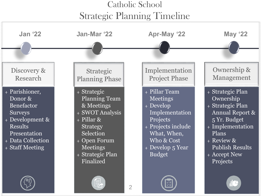#### Catholic School Strategic Planning Timeline

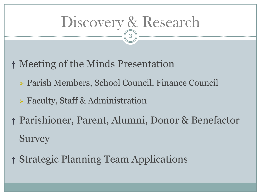#### Discovery & Research 3

- † Meeting of the Minds Presentation
	- Parish Members, School Council, Finance Council
	- Faculty, Staff & Administration
- † Parishioner, Parent, Alumni, Donor & Benefactor Survey
- † Strategic Planning Team Applications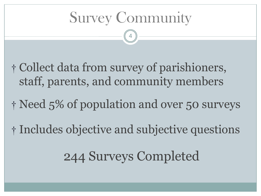Survey Community

4

- † Collect data from survey of parishioners, staff, parents, and community members
- † Need 5% of population and over 50 surveys
- † Includes objective and subjective questions

244 Surveys Completed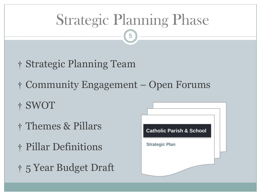### Strategic Planning Phase

- † Strategic Planning Team
- † Community Engagement Open Forums
- † SWOT
- † Themes & Pillars
- † Pillar Definitions
- † 5 Year Budget Draft

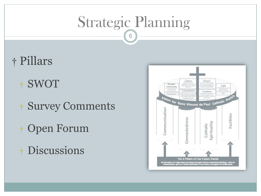### Strategic Planning

- † Pillars
	- † SWOT
	- † Survey Comments
	- † Open Forum
	- † Discussions

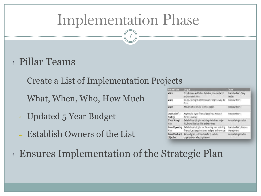#### Implementation Phase

7

#### + Pillar Teams

- + Create a List of Implementation Projects
- + What, When, Who, How Much
- <sup>+</sup> Updated 5 Year Budget
- <sup>+</sup> Establish Owners of the List

| <b>Process Phase</b>            | Output                                                                                                              | Team                                    |
|---------------------------------|---------------------------------------------------------------------------------------------------------------------|-----------------------------------------|
| Vision                          | Core Purpose and Values definition, documentation<br>and communication                                              | Executive Team / Key<br>Leaders         |
| Vision                          | Clocks / Management Mechanisms for preserving the<br>Corp.                                                          | Executive Team                          |
| Vision                          | Mission definition and communication                                                                                | Executive Team                          |
| Organization's<br>Strategy      | Key Results, 3 year financial guidelines, Product /<br>Service coverage                                             | Executive Team                          |
| 3 Year Strategic<br>Plan        | Detailed strategic plan - strategic initiatives, project<br>list, financial deliverables and resources              | Complete Organization                   |
| Annual Operating<br>Plan        | Detailed strategic plan for the coming year, including<br>financials, strategic initiatives, budgets, and resources | Executive Team, Division<br>Management. |
| Annual Goals and<br>Objectives. | Personal goals and objectives for the whole<br>organization - reflecting the AOP                                    | Complete Organization                   |

+ Ensures Implementation of the Strategic Plan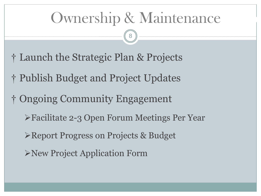### Ownership & Maintenance

- † Launch the Strategic Plan & Projects
- † Publish Budget and Project Updates
- † Ongoing Community Engagement
	- Facilitate 2-3 Open Forum Meetings Per Year
	- Report Progress on Projects & Budget
	- New Project Application Form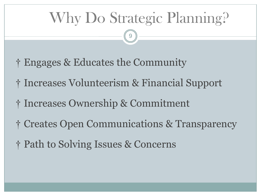## Why Do Strategic Planning?

- † Engages & Educates the Community
- † Increases Volunteerism & Financial Support
- † Increases Ownership & Commitment
- † Creates Open Communications & Transparency
- † Path to Solving Issues & Concerns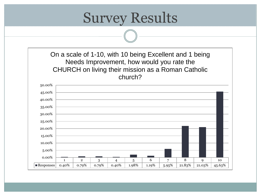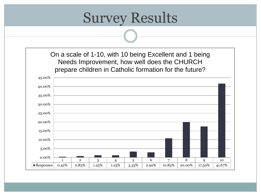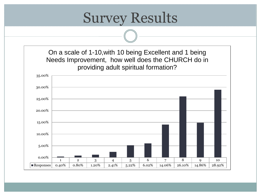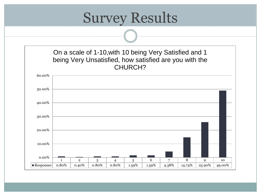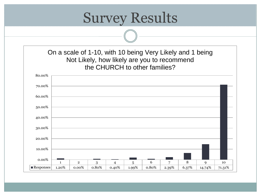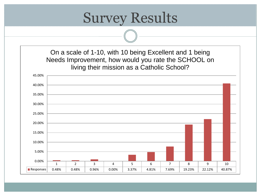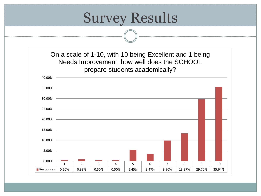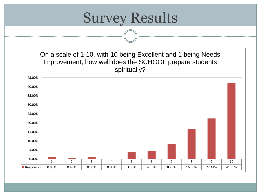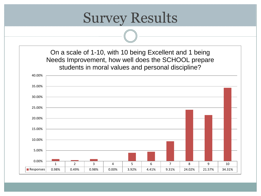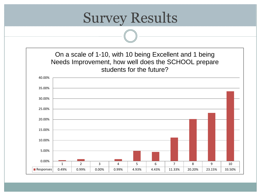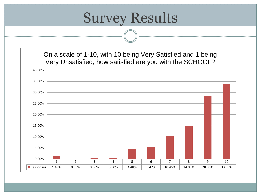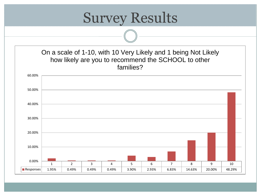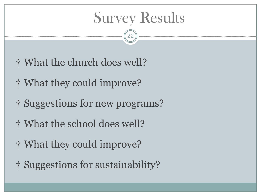#### Survey Results

- † What the church does well?
- † What they could improve?
- † Suggestions for new programs?
- † What the school does well?
- † What they could improve?
- † Suggestions for sustainability?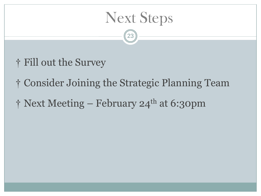#### Next Steps

- † Fill out the Survey
- † Consider Joining the Strategic Planning Team
- $\dagger$  Next Meeting February 24<sup>th</sup> at 6:30pm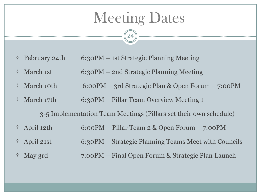#### **Meeting Dates**

24

- † February 24th 6:30PM 1st Strategic Planning Meeting
- † March 1st 6:30PM 2nd Strategic Planning Meeting
- † March 10th 6:00PM 3rd Strategic Plan & Open Forum 7:00PM
- † March 17th 6:30PM Pillar Team Overview Meeting 1

3-5 Implementation Team Meetings (Pillars set their own schedule)

- † April 12th 6:00PM Pillar Team 2 & Open Forum 7:00PM
- † April 21st 6:30PM Strategic Planning Teams Meet with Councils
- † May 3rd 7:00PM Final Open Forum & Strategic Plan Launch